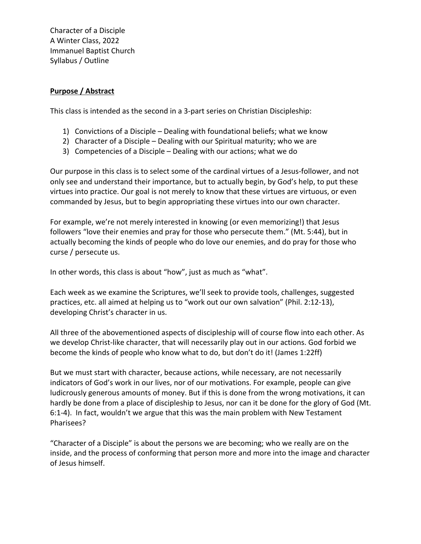Character of a Disciple A Winter Class, 2022 Immanuel Baptist Church Syllabus / Outline

## **Purpose / Abstract**

This class is intended as the second in a 3-part series on Christian Discipleship:

- 1) Convictions of a Disciple Dealing with foundational beliefs; what we know
- 2) Character of a Disciple Dealing with our Spiritual maturity; who we are
- 3) Competencies of a Disciple Dealing with our actions; what we do

Our purpose in this class is to select some of the cardinal virtues of a Jesus-follower, and not only see and understand their importance, but to actually begin, by God's help, to put these virtues into practice. Our goal is not merely to know that these virtues are virtuous, or even commanded by Jesus, but to begin appropriating these virtues into our own character.

For example, we're not merely interested in knowing (or even memorizing!) that Jesus followers "love their enemies and pray for those who persecute them." (Mt. 5:44), but in actually becoming the kinds of people who do love our enemies, and do pray for those who curse / persecute us.

In other words, this class is about "how", just as much as "what".

Each week as we examine the Scriptures, we'll seek to provide tools, challenges, suggested practices, etc. all aimed at helping us to "work out our own salvation" (Phil. 2:12-13), developing Christ's character in us.

All three of the abovementioned aspects of discipleship will of course flow into each other. As we develop Christ-like character, that will necessarily play out in our actions. God forbid we become the kinds of people who know what to do, but don't do it! (James 1:22ff)

But we must start with character, because actions, while necessary, are not necessarily indicators of God's work in our lives, nor of our motivations. For example, people can give ludicrously generous amounts of money. But if this is done from the wrong motivations, it can hardly be done from a place of discipleship to Jesus, nor can it be done for the glory of God (Mt. 6:1-4). In fact, wouldn't we argue that this was the main problem with New Testament Pharisees?

"Character of a Disciple" is about the persons we are becoming; who we really are on the inside, and the process of conforming that person more and more into the image and character of Jesus himself.